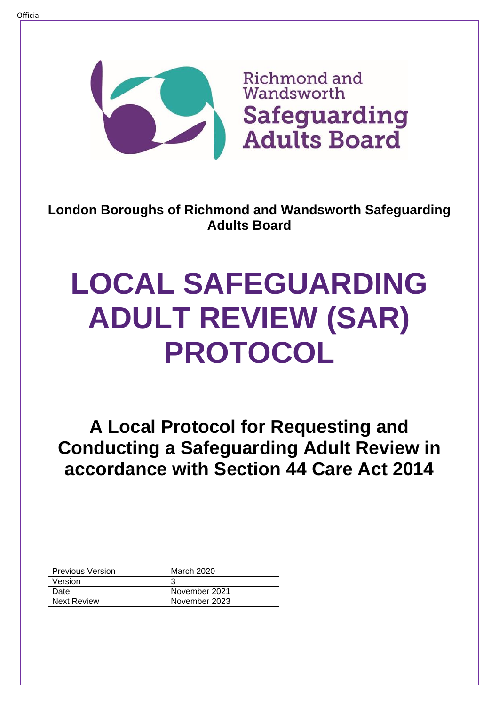

**London Boroughs of Richmond and Wandsworth Safeguarding Adults Board**

# **LOCAL SAFEGUARDING ADULT REVIEW (SAR) PROTOCOL**

**A Local Protocol for Requesting and Conducting a Safeguarding Adult Review in accordance with Section 44 Care Act 2014**

| <b>Previous Version</b> | March 2020    |
|-------------------------|---------------|
| Version                 |               |
| Date                    | November 2021 |
| <b>Next Review</b>      | November 2023 |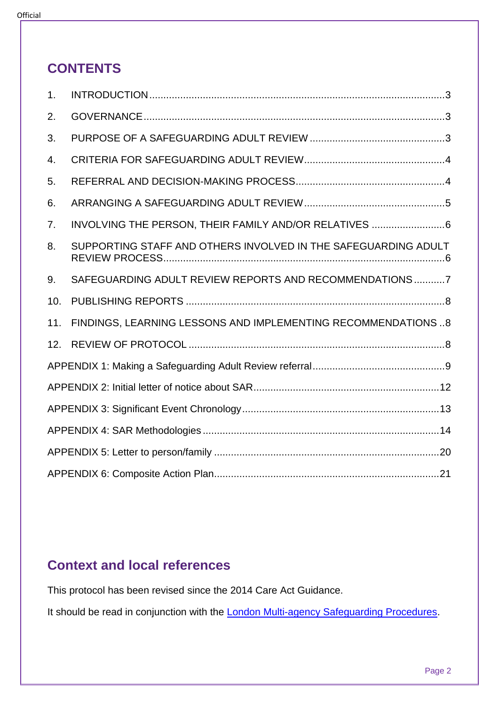### **CONTENTS**

| 1.  |                                                                |
|-----|----------------------------------------------------------------|
| 2.  |                                                                |
| 3.  |                                                                |
| 4.  |                                                                |
| 5.  |                                                                |
| 6.  |                                                                |
| 7.  | INVOLVING THE PERSON, THEIR FAMILY AND/OR RELATIVES 6          |
| 8.  | SUPPORTING STAFF AND OTHERS INVOLVED IN THE SAFEGUARDING ADULT |
| 9.  | SAFEGUARDING ADULT REVIEW REPORTS AND RECOMMENDATIONS7         |
| 10. |                                                                |
| 11. | FINDINGS, LEARNING LESSONS AND IMPLEMENTING RECOMMENDATIONS 8  |
| 12. |                                                                |
|     |                                                                |
|     |                                                                |
|     |                                                                |
|     |                                                                |
|     |                                                                |
|     |                                                                |

### **Context and local references**

This protocol has been revised since the 2014 Care Act Guidance.

It should be read in conjunction with the **London Multi-agency Safeguarding Procedures**.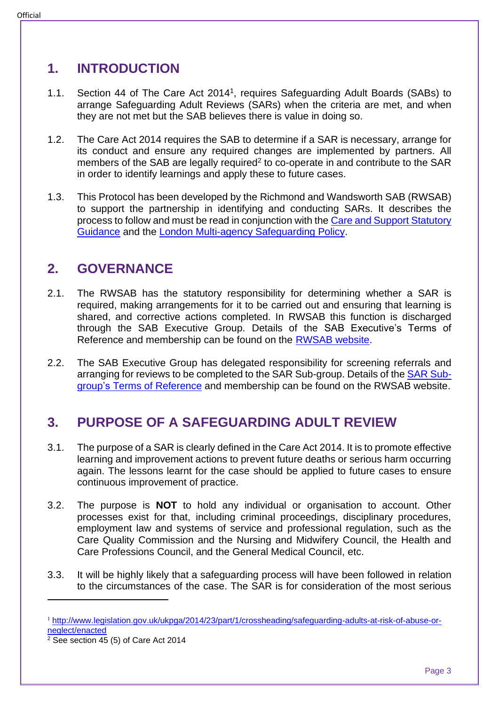### <span id="page-2-0"></span>**1. INTRODUCTION**

- 1.1. Section 44 of The Care Act 2014<sup>1</sup>, requires Safeguarding Adult Boards (SABs) to arrange Safeguarding Adult Reviews (SARs) when the criteria are met, and when they are not met but the SAB believes there is value in doing so.
- 1.2. The Care Act 2014 requires the SAB to determine if a SAR is necessary, arrange for its conduct and ensure any required changes are implemented by partners. All members of the SAB are legally required<sup>2</sup> to co-operate in and contribute to the SAR in order to identify learnings and apply these to future cases.
- 1.3. This Protocol has been developed by the Richmond and Wandsworth SAB (RWSAB) to support the partnership in identifying and conducting SARs. It describes the process to follow and must be read in conjunction with the [Care and Support Statutory](https://www.gov.uk/government/publications/care-act-statutory-guidance/care-and-support-statutory-guidance)  [Guidance](https://www.gov.uk/government/publications/care-act-statutory-guidance/care-and-support-statutory-guidance) and the [London Multi-agency Safeguarding Policy.](https://www.sabrichmondandwandsworth.org.uk/media/1351/safeguarding_london_multi_agency_policy_and_procedures.pdf)

### <span id="page-2-1"></span>**2. GOVERNANCE**

- 2.1. The RWSAB has the statutory responsibility for determining whether a SAR is required, making arrangements for it to be carried out and ensuring that learning is shared, and corrective actions completed. In RWSAB this function is discharged through the SAB Executive Group. Details of the SAB Executive's Terms of Reference and membership can be found on the [RWSAB website.](https://www.sabrichmondandwandsworth.org.uk/about-the-safeguarding-adults-board/)
- 2.2. The SAB Executive Group has delegated responsibility for screening referrals and arranging for reviews to be completed to the SAR Sub-group. Details of the [SAR Sub](https://www.sabrichmondandwandsworth.org.uk/safeguarding-adults-board-subgroups/#sar_subgroup)group's [Terms of Reference](https://www.sabrichmondandwandsworth.org.uk/safeguarding-adults-board-subgroups/#sar_subgroup) and membership can be found on the RWSAB website.

### <span id="page-2-2"></span>**3. PURPOSE OF A SAFEGUARDING ADULT REVIEW**

- 3.1. The purpose of a SAR is clearly defined in the Care Act 2014. It is to promote effective learning and improvement actions to prevent future deaths or serious harm occurring again. The lessons learnt for the case should be applied to future cases to ensure continuous improvement of practice.
- 3.2. The purpose is **NOT** to hold any individual or organisation to account. Other processes exist for that, including criminal proceedings, disciplinary procedures, employment law and systems of service and professional regulation, such as the Care Quality Commission and the Nursing and Midwifery Council, the Health and Care Professions Council, and the General Medical Council, etc.
- 3.3. It will be highly likely that a safeguarding process will have been followed in relation to the circumstances of the case. The SAR is for consideration of the most serious

<sup>1</sup> [http://www.legislation.gov.uk/ukpga/2014/23/part/1/crossheading/safeguarding-adults-at-risk-of-abuse-or](http://www.legislation.gov.uk/ukpga/2014/23/part/1/crossheading/safeguarding-adults-at-risk-of-abuse-or-neglect/enacted)[neglect/enacted](http://www.legislation.gov.uk/ukpga/2014/23/part/1/crossheading/safeguarding-adults-at-risk-of-abuse-or-neglect/enacted)

 $2$  See section 45 (5) of Care Act 2014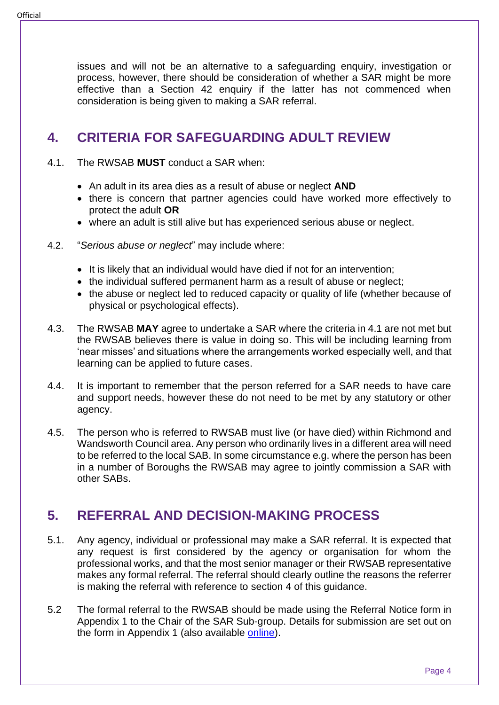issues and will not be an alternative to a safeguarding enquiry, investigation or process, however, there should be consideration of whether a SAR might be more effective than a Section 42 enquiry if the latter has not commenced when consideration is being given to making a SAR referral.

### <span id="page-3-0"></span>**4. CRITERIA FOR SAFEGUARDING ADULT REVIEW**

- 4.1. The RWSAB **MUST** conduct a SAR when:
	- An adult in its area dies as a result of abuse or neglect **AND**
	- there is concern that partner agencies could have worked more effectively to protect the adult **OR**
	- where an adult is still alive but has experienced serious abuse or neglect.
- 4.2. "*Serious abuse or neglect*" may include where:
	- It is likely that an individual would have died if not for an intervention;
	- the individual suffered permanent harm as a result of abuse or neglect;
	- the abuse or neglect led to reduced capacity or quality of life (whether because of physical or psychological effects).
- 4.3. The RWSAB **MAY** agree to undertake a SAR where the criteria in 4.1 are not met but the RWSAB believes there is value in doing so. This will be including learning from 'near misses' and situations where the arrangements worked especially well, and that learning can be applied to future cases.
- 4.4. It is important to remember that the person referred for a SAR needs to have care and support needs, however these do not need to be met by any statutory or other agency.
- 4.5. The person who is referred to RWSAB must live (or have died) within Richmond and Wandsworth Council area. Any person who ordinarily lives in a different area will need to be referred to the local SAB. In some circumstance e.g. where the person has been in a number of Boroughs the RWSAB may agree to jointly commission a SAR with other SABs.

### <span id="page-3-1"></span>**5. REFERRAL AND DECISION-MAKING PROCESS**

- 5.1. Any agency, individual or professional may make a SAR referral. It is expected that any request is first considered by the agency or organisation for whom the professional works, and that the most senior manager or their RWSAB representative makes any formal referral. The referral should clearly outline the reasons the referrer is making the referral with reference to section 4 of this guidance.
- 5.2 The formal referral to the RWSAB should be made using the Referral Notice form in Appendix 1 to the Chair of the SAR Sub-group. Details for submission are set out on the form in Appendix 1 (also available [online\)](https://www.sabrichmondandwandsworth.org.uk/safeguarding-adult-reviews/#referral).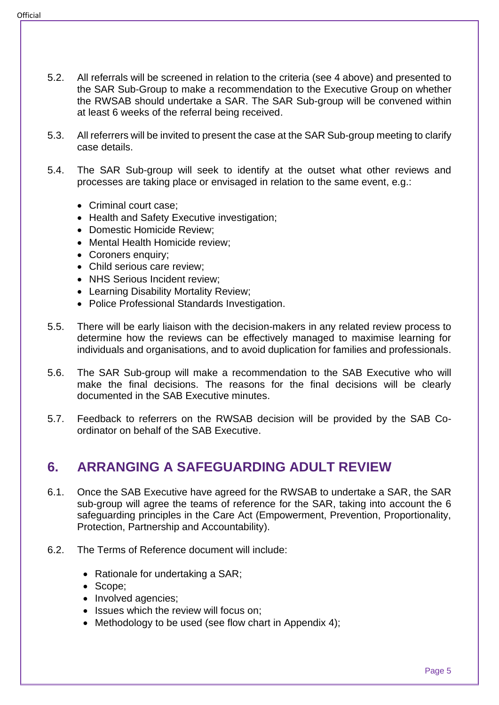- 5.2. All referrals will be screened in relation to the criteria (see 4 above) and presented to the SAR Sub-Group to make a recommendation to the Executive Group on whether the RWSAB should undertake a SAR. The SAR Sub-group will be convened within at least 6 weeks of the referral being received.
- 5.3. All referrers will be invited to present the case at the SAR Sub-group meeting to clarify case details.
- 5.4. The SAR Sub-group will seek to identify at the outset what other reviews and processes are taking place or envisaged in relation to the same event, e.g.:
	- Criminal court case;
	- Health and Safety Executive investigation:
	- Domestic Homicide Review;
	- Mental Health Homicide review;
	- Coroners enquiry;
	- Child serious care review:
	- NHS Serious Incident review;
	- Learning Disability Mortality Review;
	- Police Professional Standards Investigation.
- 5.5. There will be early liaison with the decision-makers in any related review process to determine how the reviews can be effectively managed to maximise learning for individuals and organisations, and to avoid duplication for families and professionals.
- 5.6. The SAR Sub-group will make a recommendation to the SAB Executive who will make the final decisions. The reasons for the final decisions will be clearly documented in the SAB Executive minutes.
- 5.7. Feedback to referrers on the RWSAB decision will be provided by the SAB Coordinator on behalf of the SAB Executive.

### <span id="page-4-0"></span>**6. ARRANGING A SAFEGUARDING ADULT REVIEW**

- 6.1. Once the SAB Executive have agreed for the RWSAB to undertake a SAR, the SAR sub-group will agree the teams of reference for the SAR, taking into account the 6 safeguarding principles in the Care Act (Empowerment, Prevention, Proportionality, Protection, Partnership and Accountability).
- 6.2. The Terms of Reference document will include:
	- Rationale for undertaking a SAR;
	- Scope;
	- Involved agencies;
	- Issues which the review will focus on:
	- Methodology to be used (see flow chart in Appendix 4):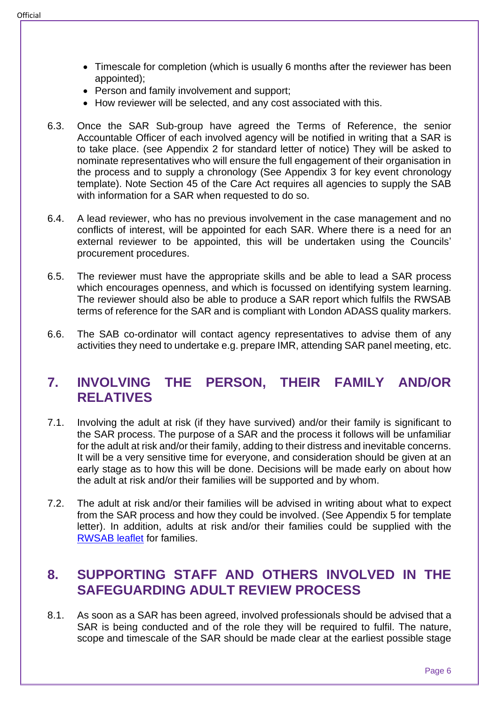- Timescale for completion (which is usually 6 months after the reviewer has been appointed);
- Person and family involvement and support;
- How reviewer will be selected, and any cost associated with this.
- 6.3. Once the SAR Sub-group have agreed the Terms of Reference, the senior Accountable Officer of each involved agency will be notified in writing that a SAR is to take place. (see Appendix 2 for standard letter of notice) They will be asked to nominate representatives who will ensure the full engagement of their organisation in the process and to supply a chronology (See Appendix 3 for key event chronology template). Note Section 45 of the Care Act requires all agencies to supply the SAB with information for a SAR when requested to do so.
- 6.4. A lead reviewer, who has no previous involvement in the case management and no conflicts of interest, will be appointed for each SAR. Where there is a need for an external reviewer to be appointed, this will be undertaken using the Councils' procurement procedures.
- 6.5. The reviewer must have the appropriate skills and be able to lead a SAR process which encourages openness, and which is focussed on identifying system learning. The reviewer should also be able to produce a SAR report which fulfils the RWSAB terms of reference for the SAR and is compliant with London ADASS quality markers.
- 6.6. The SAB co-ordinator will contact agency representatives to advise them of any activities they need to undertake e.g. prepare IMR, attending SAR panel meeting, etc.

### <span id="page-5-0"></span>**7. INVOLVING THE PERSON, THEIR FAMILY AND/OR RELATIVES**

- 7.1. Involving the adult at risk (if they have survived) and/or their family is significant to the SAR process. The purpose of a SAR and the process it follows will be unfamiliar for the adult at risk and/or their family, adding to their distress and inevitable concerns. It will be a very sensitive time for everyone, and consideration should be given at an early stage as to how this will be done. Decisions will be made early on about how the adult at risk and/or their families will be supported and by whom.
- 7.2. The adult at risk and/or their families will be advised in writing about what to expect from the SAR process and how they could be involved. (See Appendix 5 for template letter). In addition, adults at risk and/or their families could be supplied with the [RWSAB leaflet](https://www.sabrichmondandwandsworth.org.uk/media/1418/what_is_a_safeguarding_adults_review.pdf) for families.

### <span id="page-5-1"></span>**8. SUPPORTING STAFF AND OTHERS INVOLVED IN THE SAFEGUARDING ADULT REVIEW PROCESS**

8.1. As soon as a SAR has been agreed, involved professionals should be advised that a SAR is being conducted and of the role they will be required to fulfil. The nature, scope and timescale of the SAR should be made clear at the earliest possible stage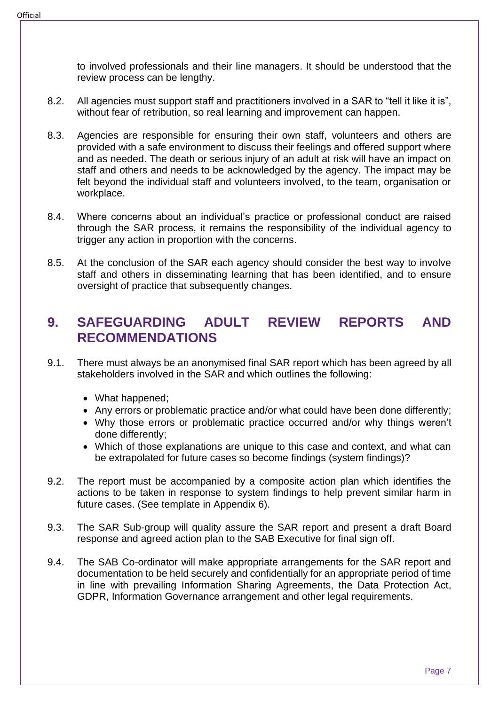to involved professionals and their line managers. It should be understood that the review process can be lengthy.

- 8.2. All agencies must support staff and practitioners involved in a SAR to "tell it like it is", without fear of retribution, so real learning and improvement can happen.
- 8.3. Agencies are responsible for ensuring their own staff, volunteers and others are provided with a safe environment to discuss their feelings and offered support where and as needed. The death or serious injury of an adult at risk will have an impact on staff and others and needs to be acknowledged by the agency. The impact may be felt beyond the individual staff and volunteers involved, to the team, organisation or workplace.
- 8.4. Where concerns about an individual's practice or professional conduct are raised through the SAR process, it remains the responsibility of the individual agency to trigger any action in proportion with the concerns.
- 8.5. At the conclusion of the SAR each agency should consider the best way to involve staff and others in disseminating learning that has been identified, and to ensure oversight of practice that subsequently changes.

### <span id="page-6-0"></span>**9. SAFEGUARDING ADULT REVIEW REPORTS AND RECOMMENDATIONS**

- 9.1. There must always be an anonymised final SAR report which has been agreed by all stakeholders involved in the SAR and which outlines the following:
	- What happened;
	- Any errors or problematic practice and/or what could have been done differently;
	- Why those errors or problematic practice occurred and/or why things weren't done differently;
	- Which of those explanations are unique to this case and context, and what can be extrapolated for future cases so become findings (system findings)?
- 9.2. The report must be accompanied by a composite action plan which identifies the actions to be taken in response to system findings to help prevent similar harm in future cases. (See template in Appendix 6).
- 9.3. The SAR Sub-group will quality assure the SAR report and present a draft Board response and agreed action plan to the SAB Executive for final sign off.
- 9.4. The SAB Co-ordinator will make appropriate arrangements for the SAR report and documentation to be held securely and confidentially for an appropriate period of time in line with prevailing Information Sharing Agreements, the Data Protection Act, GDPR, Information Governance arrangement and other legal requirements.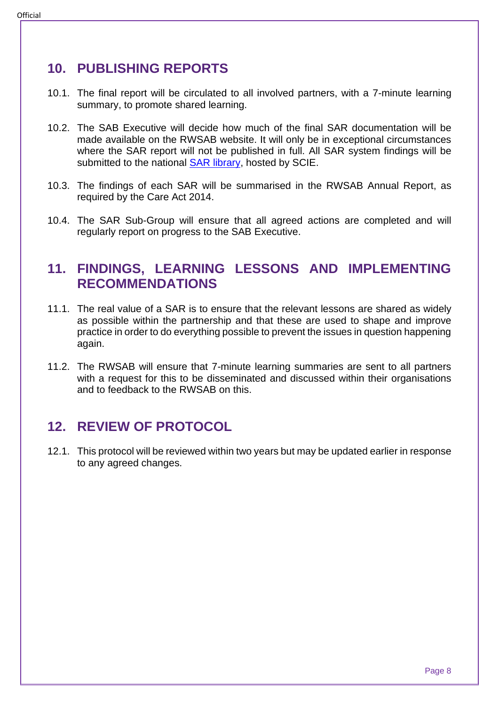### <span id="page-7-0"></span>**10. PUBLISHING REPORTS**

- 10.1. The final report will be circulated to all involved partners, with a 7-minute learning summary, to promote shared learning.
- 10.2. The SAB Executive will decide how much of the final SAR documentation will be made available on the RWSAB website. It will only be in exceptional circumstances where the SAR report will not be published in full. All SAR system findings will be submitted to the national **SAR library**, hosted by SCIE.
- 10.3. The findings of each SAR will be summarised in the RWSAB Annual Report, as required by the Care Act 2014.
- 10.4. The SAR Sub-Group will ensure that all agreed actions are completed and will regularly report on progress to the SAB Executive.

### <span id="page-7-1"></span>**11. FINDINGS, LEARNING LESSONS AND IMPLEMENTING RECOMMENDATIONS**

- 11.1. The real value of a SAR is to ensure that the relevant lessons are shared as widely as possible within the partnership and that these are used to shape and improve practice in order to do everything possible to prevent the issues in question happening again.
- 11.2. The RWSAB will ensure that 7-minute learning summaries are sent to all partners with a request for this to be disseminated and discussed within their organisations and to feedback to the RWSAB on this.

### <span id="page-7-2"></span>**12. REVIEW OF PROTOCOL**

12.1. This protocol will be reviewed within two years but may be updated earlier in response to any agreed changes.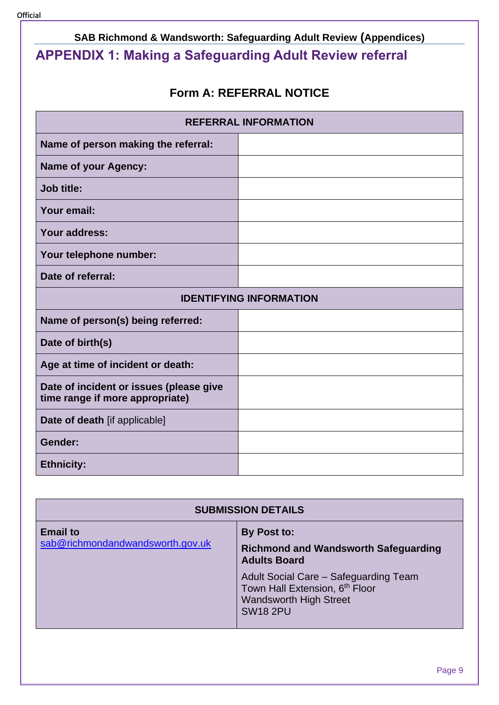## <span id="page-8-0"></span>**SAB Richmond & Wandsworth: Safeguarding Adult Review (Appendices) APPENDIX 1: Making a Safeguarding Adult Review referral**

### **Form A: REFERRAL NOTICE**

| <b>REFERRAL INFORMATION</b>                                                |  |  |
|----------------------------------------------------------------------------|--|--|
| Name of person making the referral:                                        |  |  |
| <b>Name of your Agency:</b>                                                |  |  |
| <b>Job title:</b>                                                          |  |  |
| Your email:                                                                |  |  |
| Your address:                                                              |  |  |
| Your telephone number:                                                     |  |  |
| Date of referral:                                                          |  |  |
| <b>IDENTIFYING INFORMATION</b>                                             |  |  |
| Name of person(s) being referred:                                          |  |  |
| Date of birth(s)                                                           |  |  |
| Age at time of incident or death:                                          |  |  |
| Date of incident or issues (please give<br>time range if more appropriate) |  |  |
| Date of death [if applicable]                                              |  |  |
| Gender:                                                                    |  |  |
| <b>Ethnicity:</b>                                                          |  |  |

| <b>SUBMISSION DETAILS</b>                           |                                                                                                                                                                                                                  |  |
|-----------------------------------------------------|------------------------------------------------------------------------------------------------------------------------------------------------------------------------------------------------------------------|--|
| <b>Email to</b><br>sab@richmondandwandsworth.gov.uk | By Post to:<br><b>Richmond and Wandsworth Safeguarding</b><br><b>Adults Board</b><br>Adult Social Care - Safeguarding Team<br>Town Hall Extension, 6th Floor<br><b>Wandsworth High Street</b><br><b>SW18 2PU</b> |  |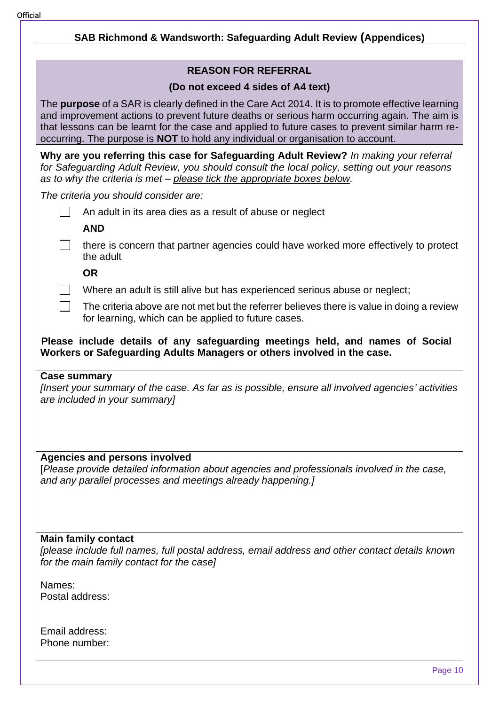| <b>SAB Richmond &amp; Wandsworth: Safeguarding Adult Review (Appendices)</b>                                                                                                                                                                                                                                                                                                             |  |  |  |  |
|------------------------------------------------------------------------------------------------------------------------------------------------------------------------------------------------------------------------------------------------------------------------------------------------------------------------------------------------------------------------------------------|--|--|--|--|
|                                                                                                                                                                                                                                                                                                                                                                                          |  |  |  |  |
| <b>REASON FOR REFERRAL</b>                                                                                                                                                                                                                                                                                                                                                               |  |  |  |  |
| (Do not exceed 4 sides of A4 text)                                                                                                                                                                                                                                                                                                                                                       |  |  |  |  |
| The purpose of a SAR is clearly defined in the Care Act 2014. It is to promote effective learning<br>and improvement actions to prevent future deaths or serious harm occurring again. The aim is<br>that lessons can be learnt for the case and applied to future cases to prevent similar harm re-<br>occurring. The purpose is NOT to hold any individual or organisation to account. |  |  |  |  |
| Why are you referring this case for Safeguarding Adult Review? In making your referral<br>for Safeguarding Adult Review, you should consult the local policy, setting out your reasons<br>as to why the criteria is met - please tick the appropriate boxes below.                                                                                                                       |  |  |  |  |
| The criteria you should consider are:                                                                                                                                                                                                                                                                                                                                                    |  |  |  |  |
| An adult in its area dies as a result of abuse or neglect                                                                                                                                                                                                                                                                                                                                |  |  |  |  |
| <b>AND</b>                                                                                                                                                                                                                                                                                                                                                                               |  |  |  |  |
| there is concern that partner agencies could have worked more effectively to protect<br>the adult                                                                                                                                                                                                                                                                                        |  |  |  |  |
| <b>OR</b>                                                                                                                                                                                                                                                                                                                                                                                |  |  |  |  |
| Where an adult is still alive but has experienced serious abuse or neglect;                                                                                                                                                                                                                                                                                                              |  |  |  |  |
| The criteria above are not met but the referrer believes there is value in doing a review<br>for learning, which can be applied to future cases.                                                                                                                                                                                                                                         |  |  |  |  |
| Please include details of any safeguarding meetings held, and names of Social<br>Workers or Safeguarding Adults Managers or others involved in the case.                                                                                                                                                                                                                                 |  |  |  |  |
| <b>Case summary</b><br>[Insert your summary of the case. As far as is possible, ensure all involved agencies' activities<br>are included in your summary]                                                                                                                                                                                                                                |  |  |  |  |
|                                                                                                                                                                                                                                                                                                                                                                                          |  |  |  |  |
| <b>Agencies and persons involved</b><br>[Please provide detailed information about agencies and professionals involved in the case,<br>and any parallel processes and meetings already happening.]                                                                                                                                                                                       |  |  |  |  |
|                                                                                                                                                                                                                                                                                                                                                                                          |  |  |  |  |
| <b>Main family contact</b><br>[please include full names, full postal address, email address and other contact details known<br>for the main family contact for the case]                                                                                                                                                                                                                |  |  |  |  |
| Names:<br>Postal address:                                                                                                                                                                                                                                                                                                                                                                |  |  |  |  |
| Email address:<br>Phone number:                                                                                                                                                                                                                                                                                                                                                          |  |  |  |  |
| Page 10                                                                                                                                                                                                                                                                                                                                                                                  |  |  |  |  |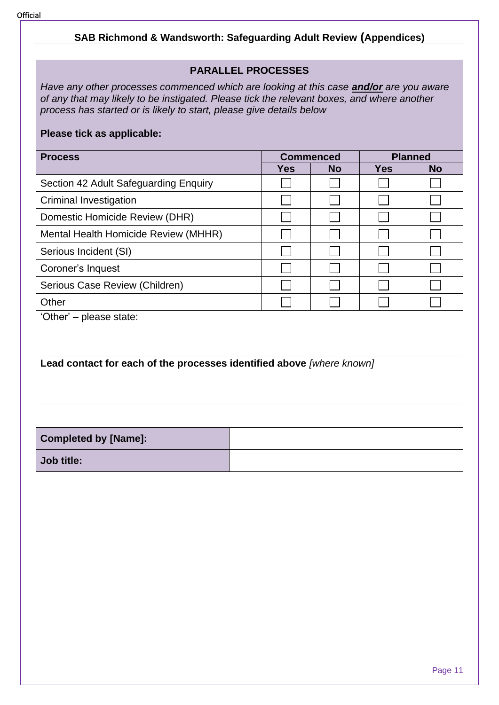### **PARALLEL PROCESSES**

*Have any other processes commenced which are looking at this case and/or are you aware of any that may likely to be instigated. Please tick the relevant boxes, and where another process has started or is likely to start, please give details below*

#### **Please tick as applicable:**

| <b>Process</b><br><b>Commenced</b>                                    |            | <b>Planned</b> |            |           |
|-----------------------------------------------------------------------|------------|----------------|------------|-----------|
|                                                                       | <b>Yes</b> | <b>No</b>      | <b>Yes</b> | <b>No</b> |
| Section 42 Adult Safeguarding Enquiry                                 |            |                |            |           |
| Criminal Investigation                                                |            |                |            |           |
| Domestic Homicide Review (DHR)                                        |            |                |            |           |
| Mental Health Homicide Review (MHHR)                                  |            |                |            |           |
| Serious Incident (SI)                                                 |            |                |            |           |
| Coroner's Inquest                                                     |            |                |            |           |
| Serious Case Review (Children)                                        |            |                |            |           |
| Other                                                                 |            |                |            |           |
| 'Other' – please state:                                               |            |                |            |           |
|                                                                       |            |                |            |           |
|                                                                       |            |                |            |           |
| Lead contact for each of the processes identified above [where known] |            |                |            |           |

| <b>Completed by [Name]:</b> |  |
|-----------------------------|--|
| Job title:                  |  |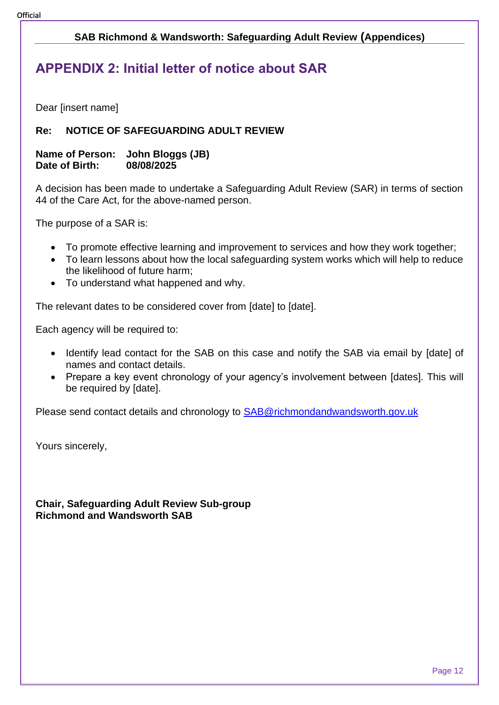### <span id="page-11-0"></span>**APPENDIX 2: Initial letter of notice about SAR**

Dear [insert name]

#### **Re: NOTICE OF SAFEGUARDING ADULT REVIEW**

#### **Name of Person: John Bloggs (JB) Date of Birth: 08/08/2025**

A decision has been made to undertake a Safeguarding Adult Review (SAR) in terms of section 44 of the Care Act, for the above-named person.

The purpose of a SAR is:

- To promote effective learning and improvement to services and how they work together;
- To learn lessons about how the local safeguarding system works which will help to reduce the likelihood of future harm;
- To understand what happened and why.

The relevant dates to be considered cover from [date] to [date].

Each agency will be required to:

- Identify lead contact for the SAB on this case and notify the SAB via email by [date] of names and contact details.
- Prepare a key event chronology of your agency's involvement between [dates]. This will be required by [date].

Please send contact details and chronology to [SAB@richmondandwandsworth.gov.uk](mailto:SAB@richmondandwandsworth.gov.uk)

Yours sincerely,

**Chair, Safeguarding Adult Review Sub-group Richmond and Wandsworth SAB**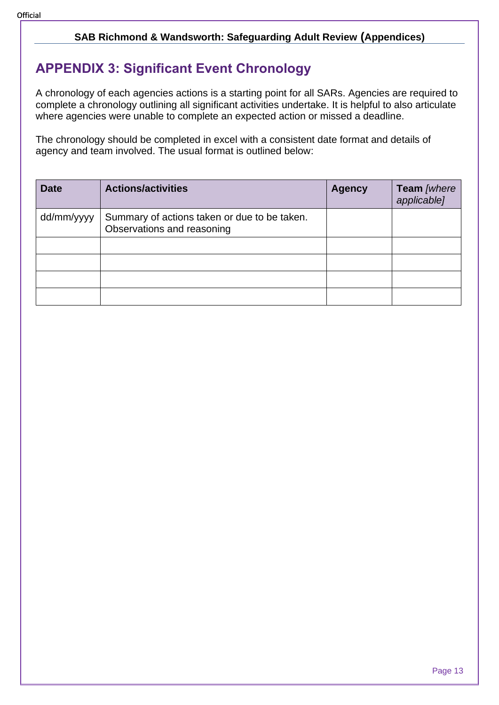### <span id="page-12-0"></span>**APPENDIX 3: Significant Event Chronology**

A chronology of each agencies actions is a starting point for all SARs. Agencies are required to complete a chronology outlining all significant activities undertake. It is helpful to also articulate where agencies were unable to complete an expected action or missed a deadline.

The chronology should be completed in excel with a consistent date format and details of agency and team involved. The usual format is outlined below:

| <b>Date</b> | <b>Actions/activities</b>                                                  | <b>Agency</b> | Team [where<br>applicable] |
|-------------|----------------------------------------------------------------------------|---------------|----------------------------|
| dd/mm/yyyy  | Summary of actions taken or due to be taken.<br>Observations and reasoning |               |                            |
|             |                                                                            |               |                            |
|             |                                                                            |               |                            |
|             |                                                                            |               |                            |
|             |                                                                            |               |                            |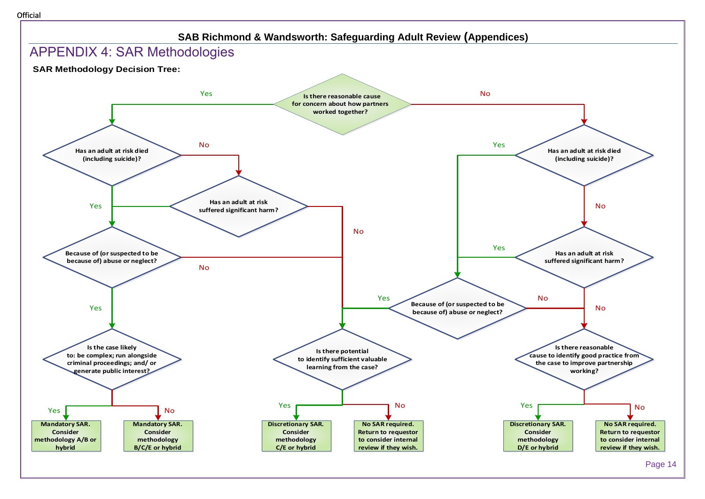<span id="page-13-0"></span>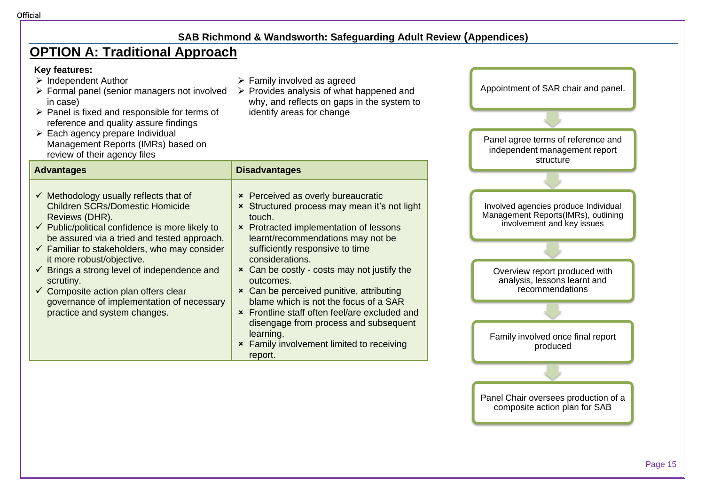### **OPTION A: Traditional Approach**

#### **Key features:**

- ➢ Independent Author
- ➢ Formal panel (senior managers not involved in case)
- ➢ Panel is fixed and responsible for terms of reference and quality assure findings
- $\triangleright$  Each agency prepare Individual Management Reports (IMRs) based on review of their agency files

#### **Advantages Disadvantages**

- $\checkmark$  Methodology usually reflects that of Children SCRs/Domestic Homicide Reviews (DHR).
- $\checkmark$  Public/political confidence is more likely to be assured via a tried and tested approach.
- $\checkmark$  Familiar to stakeholders, who may consider it more robust/objective.
- $\checkmark$  Brings a strong level of independence and scrutiny.
- $\checkmark$  Composite action plan offers clear governance of implementation of necessary practice and system changes.
- $\triangleright$  Family involved as agreed
- ➢ Provides analysis of what happened and why, and reflects on gaps in the system to identify areas for change



- **\*** Can be perceived punitive, attributing blame which is not the focus of a SAR
- Frontline staff often feel/are excluded and disengage from process and subsequent learning.
- **\*** Family involvement limited to receiving report.

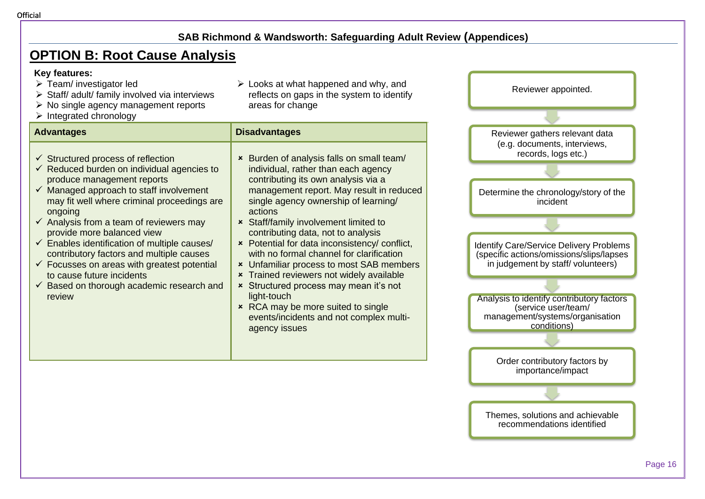### **OPTION B: Root Cause Analysis**

#### **Key features:**

- ➢ Team/ investigator led
- ➢ Staff/ adult/ family involved via interviews
- $\triangleright$  No single agency management reports
- ➢ Integrated chronology

#### **Advantages Disadvantages**

- $\checkmark$  Structured process of reflection
- $\checkmark$  Reduced burden on individual agencies to produce management reports
- $\checkmark$  Managed approach to staff involvement may fit well where criminal proceedings are ongoing
- $\checkmark$  Analysis from a team of reviewers may provide more balanced view
- $\checkmark$  Enables identification of multiple causes/ contributory factors and multiple causes
- $\checkmark$  Focusses on areas with greatest potential to cause future incidents
- $\checkmark$  Based on thorough academic research and review

 $\triangleright$  Looks at what happened and why, and reflects on gaps in the system to identify areas for change

 Burden of analysis falls on small team/ individual, rather than each agency contributing its own analysis via a

single agency ownership of learning/

with no formal channel for clarification

events/incidents and not complex multi-

**\*** Trained reviewers not widely available **x** Structured process may mean it's not

**\*** RCA may be more suited to single

 Staff/family involvement limited to contributing data, not to analysis

actions

light-touch

agency issues



Reviewer appointed.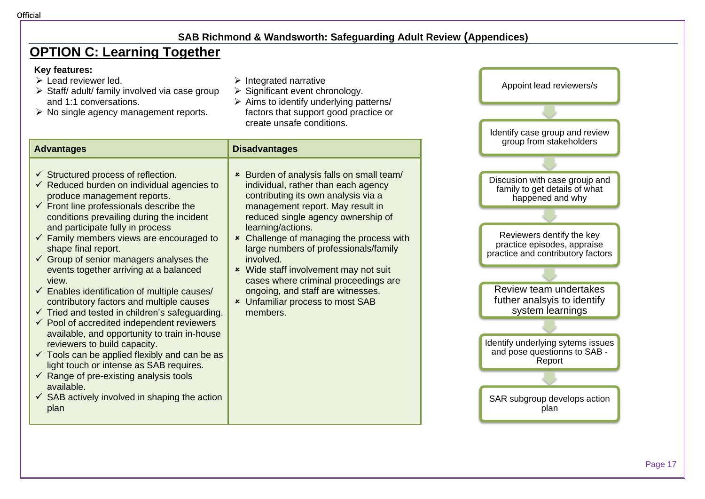### **OPTION C: Learning Together**

#### **Key features:**

- $\triangleright$  Lead reviewer led.
- ➢ Staff/ adult/ family involved via case group and 1:1 conversations.
- ➢ No single agency management reports.
- $\triangleright$  Integrated narrative
- ➢ Significant event chronology.
- $\triangleright$  Aims to identify underlying patterns/ factors that support good practice or create unsafe conditions.

| <b>Advantages</b>                                                                                                                                                                                                                                                                                                                                                                                                                                                                                                                                                                                                                                                                                                                                                                                                                                                                                                                                                                                                  | <b>Disadvantages</b>                                                                                                                                                                                                                                                                                                                                                                                                                                                                                  |
|--------------------------------------------------------------------------------------------------------------------------------------------------------------------------------------------------------------------------------------------------------------------------------------------------------------------------------------------------------------------------------------------------------------------------------------------------------------------------------------------------------------------------------------------------------------------------------------------------------------------------------------------------------------------------------------------------------------------------------------------------------------------------------------------------------------------------------------------------------------------------------------------------------------------------------------------------------------------------------------------------------------------|-------------------------------------------------------------------------------------------------------------------------------------------------------------------------------------------------------------------------------------------------------------------------------------------------------------------------------------------------------------------------------------------------------------------------------------------------------------------------------------------------------|
| $\checkmark$ Structured process of reflection.<br>$\checkmark$ Reduced burden on individual agencies to<br>produce management reports.<br>$\checkmark$ Front line professionals describe the<br>conditions prevailing during the incident<br>and participate fully in process<br>$\checkmark$ Family members views are encouraged to<br>shape final report.<br>$\checkmark$ Group of senior managers analyses the<br>events together arriving at a balanced<br>view.<br>$\checkmark$ Enables identification of multiple causes/<br>contributory factors and multiple causes<br>$\checkmark$ Tried and tested in children's safeguarding.<br>$\checkmark$ Pool of accredited independent reviewers<br>available, and opportunity to train in-house<br>reviewers to build capacity.<br>$\checkmark$ Tools can be applied flexibly and can be as<br>light touch or intense as SAB requires.<br>Range of pre-existing analysis tools<br>available.<br>$\checkmark$ SAB actively involved in shaping the action<br>plan | × Burden of analysis falls on small team/<br>individual, rather than each agency<br>contributing its own analysis via a<br>management report. May result in<br>reduced single agency ownership of<br>learning/actions.<br>* Challenge of managing the process with<br>large numbers of professionals/family<br>involved.<br>* Wide staff involvement may not suit<br>cases where criminal proceedings are<br>ongoing, and staff are witnesses.<br><b>*</b> Unfamiliar process to most SAB<br>members. |

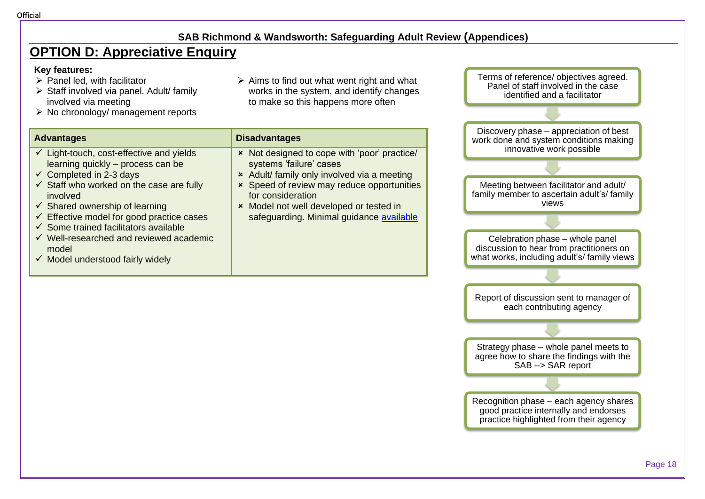### **OPTION D: Appreciative Enquiry**

#### **Key features:**

- $\triangleright$  Panel led, with facilitator
- ➢ Staff involved via panel. Adult/ family involved via meeting
- ➢ No chronology/ management reports

| $\triangleright$ Aims to find out what went right and what |
|------------------------------------------------------------|
| works in the system, and identify changes                  |
| to make so this happens more often                         |

| <b>Advantages</b>                                                                                                                                                                                                                                                                                                                                                                                                                                                        | <b>Disadvantages</b>                                                                                                                                                                                                                                                             |
|--------------------------------------------------------------------------------------------------------------------------------------------------------------------------------------------------------------------------------------------------------------------------------------------------------------------------------------------------------------------------------------------------------------------------------------------------------------------------|----------------------------------------------------------------------------------------------------------------------------------------------------------------------------------------------------------------------------------------------------------------------------------|
| $\checkmark$ Light-touch, cost-effective and yields<br>learning quickly – process can be<br>$\checkmark$ Completed in 2-3 days<br>$\checkmark$ Staff who worked on the case are fully<br>involved<br>$\checkmark$ Shared ownership of learning<br>$\checkmark$ Effective model for good practice cases<br>$\checkmark$ Some trained facilitators available<br>$\checkmark$ Well-researched and reviewed academic<br>model<br>$\checkmark$ Model understood fairly widely | × Not designed to cope with 'poor' practice/<br>systems 'failure' cases<br>* Adult/ family only involved via a meeting<br>* Speed of review may reduce opportunities<br>for consideration<br>* Model not well developed or tested in<br>safeguarding. Minimal guidance available |

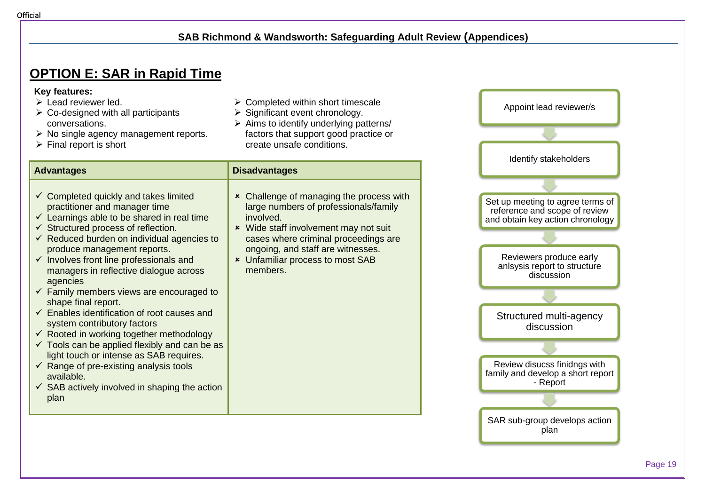### **OPTION E: SAR in Rapid Time**

#### **Key features:**

- $\triangleright$  Lead reviewer led.
- $\triangleright$  Co-designed with all participants conversations.
- ➢ No single agency management reports.
- $\triangleright$  Final report is short
- $\triangleright$  Completed within short timescale
- ➢ Significant event chronology.
- ➢ Aims to identify underlying patterns/ factors that support good practice or create unsafe conditions.

| <b>Advantages</b>                                                                                                                                                                                                                                                                                                                                                                                                                                                                                                                                                                                                                                                                                                                                                                                                                                                            | <b>Disadvantages</b>                                                                                                                                                                                                                                                               |
|------------------------------------------------------------------------------------------------------------------------------------------------------------------------------------------------------------------------------------------------------------------------------------------------------------------------------------------------------------------------------------------------------------------------------------------------------------------------------------------------------------------------------------------------------------------------------------------------------------------------------------------------------------------------------------------------------------------------------------------------------------------------------------------------------------------------------------------------------------------------------|------------------------------------------------------------------------------------------------------------------------------------------------------------------------------------------------------------------------------------------------------------------------------------|
| $\checkmark$ Completed quickly and takes limited<br>practitioner and manager time<br>$\checkmark$ Learnings able to be shared in real time<br>$\checkmark$ Structured process of reflection.<br>$\checkmark$ Reduced burden on individual agencies to<br>produce management reports.<br>$\checkmark$ Involves front line professionals and<br>managers in reflective dialogue across<br>agencies<br>$\checkmark$ Family members views are encouraged to<br>shape final report.<br>$\checkmark$ Enables identification of root causes and<br>system contributory factors<br>$\checkmark$ Rooted in working together methodology<br>$\checkmark$ Tools can be applied flexibly and can be as<br>light touch or intense as SAB requires.<br>$\checkmark$ Range of pre-existing analysis tools<br>available.<br>$\checkmark$ SAB actively involved in shaping the action<br>plan | <b>*</b> Challenge of managing the process with<br>large numbers of professionals/family<br>involved.<br>* Wide staff involvement may not suit<br>cases where criminal proceedings are<br>ongoing, and staff are witnesses.<br><b>*</b> Unfamiliar process to most SAB<br>members. |

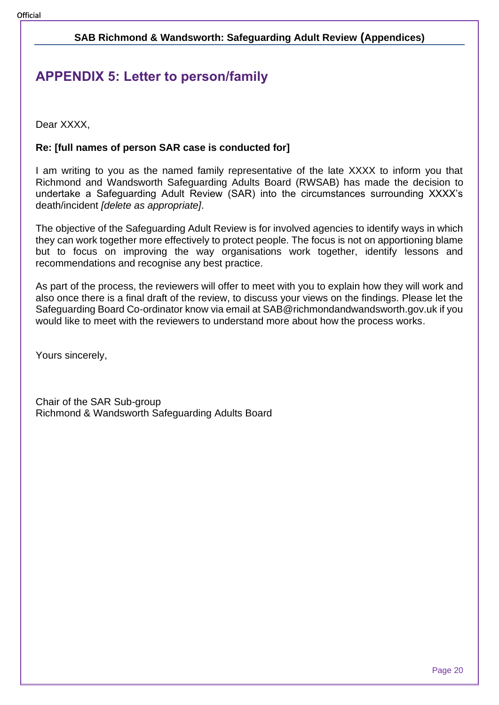### <span id="page-19-0"></span>**APPENDIX 5: Letter to person/family**

Dear XXXX.

#### **Re: [full names of person SAR case is conducted for]**

I am writing to you as the named family representative of the late XXXX to inform you that Richmond and Wandsworth Safeguarding Adults Board (RWSAB) has made the decision to undertake a Safeguarding Adult Review (SAR) into the circumstances surrounding XXXX's death/incident *[delete as appropriate]*.

The objective of the Safeguarding Adult Review is for involved agencies to identify ways in which they can work together more effectively to protect people. The focus is not on apportioning blame but to focus on improving the way organisations work together, identify lessons and recommendations and recognise any best practice.

As part of the process, the reviewers will offer to meet with you to explain how they will work and also once there is a final draft of the review, to discuss your views on the findings. Please let the Safeguarding Board Co-ordinator know via email at SAB@richmondandwandsworth.gov.uk if you would like to meet with the reviewers to understand more about how the process works.

Yours sincerely,

Chair of the SAR Sub-group Richmond & Wandsworth Safeguarding Adults Board